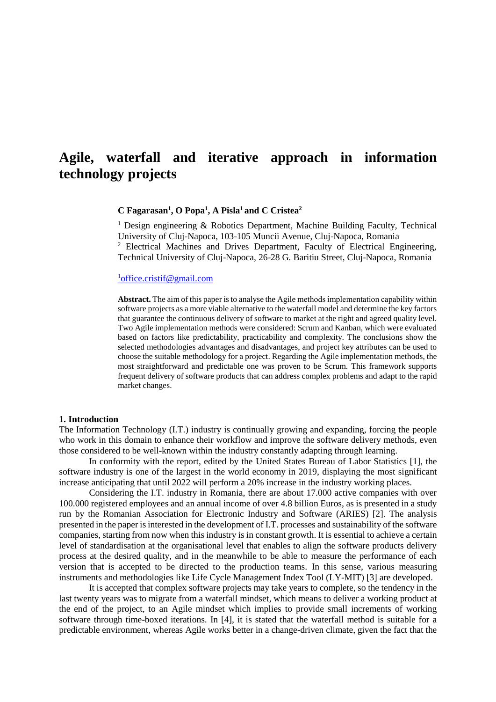# **Agile, waterfall and iterative approach in information technology projects**

#### **C Fagarasan<sup>1</sup> , O Popa<sup>1</sup> , A Pisla <sup>1</sup> and C Cristea<sup>2</sup>**

<sup>1</sup> Design engineering & Robotics Department, Machine Building Faculty, Technical University of Cluj-Napoca, 103-105 Muncii Avenue, Cluj-Napoca, Romania <sup>2</sup> Electrical Machines and Drives Department, Faculty of Electrical Engineering, Technical University of Cluj-Napoca, 26-28 G. Baritiu Street, Cluj-Napoca, Romania

#### <sup>1</sup>[office.cristif@gmail.com](mailto:1office.cristif@gmail.com)

**Abstract.** The aim of this paper isto analyse the Agile methods implementation capability within software projects as a more viable alternative to the waterfall model and determine the key factors that guarantee the continuous delivery of software to market at the right and agreed quality level. Two Agile implementation methods were considered: Scrum and Kanban, which were evaluated based on factors like predictability, practicability and complexity. The conclusions show the selected methodologies advantages and disadvantages, and project key attributes can be used to choose the suitable methodology for a project. Regarding the Agile implementation methods, the most straightforward and predictable one was proven to be Scrum. This framework supports frequent delivery of software products that can address complex problems and adapt to the rapid market changes.

#### **1. Introduction**

The Information Technology (I.T.) industry is continually growing and expanding, forcing the people who work in this domain to enhance their workflow and improve the software delivery methods, even those considered to be well-known within the industry constantly adapting through learning.

In conformity with the report, edited by the United States Bureau of Labor Statistics [1], the software industry is one of the largest in the world economy in 2019, displaying the most significant increase anticipating that until 2022 will perform a 20% increase in the industry working places.

Considering the I.T. industry in Romania, there are about 17.000 active companies with over 100.000 registered employees and an annual income of over 4.8 billion Euros, as is presented in a study run by the Romanian Association for Electronic Industry and Software (ARIES) [2]. The analysis presented in the paper is interested in the development of I.T. processes and sustainability of the software companies, starting from now when this industry is in constant growth. It is essential to achieve a certain level of standardisation at the organisational level that enables to align the software products delivery process at the desired quality, and in the meanwhile to be able to measure the performance of each version that is accepted to be directed to the production teams. In this sense, various measuring instruments and methodologies like Life Cycle Management Index Tool (LY-MIT) [3] are developed.

It is accepted that complex software projects may take years to complete, so the tendency in the last twenty years was to migrate from a waterfall mindset, which means to deliver a working product at the end of the project, to an Agile mindset which implies to provide small increments of working software through time-boxed iterations. In [4], it is stated that the waterfall method is suitable for a predictable environment, whereas Agile works better in a change-driven climate, given the fact that the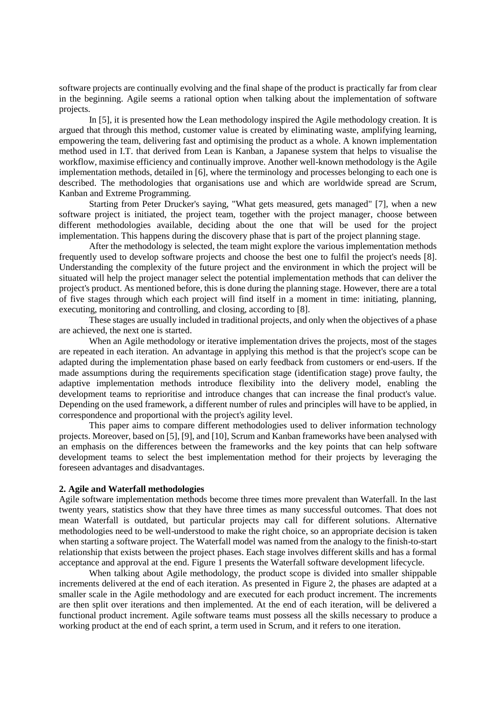software projects are continually evolving and the final shape of the product is practically far from clear in the beginning. Agile seems a rational option when talking about the implementation of software projects.

In [5], it is presented how the Lean methodology inspired the Agile methodology creation. It is argued that through this method, customer value is created by eliminating waste, amplifying learning, empowering the team, delivering fast and optimising the product as a whole. A known implementation method used in I.T. that derived from Lean is Kanban, a Japanese system that helps to visualise the workflow, maximise efficiency and continually improve. Another well-known methodology is the Agile implementation methods, detailed in [6], where the terminology and processes belonging to each one is described. The methodologies that organisations use and which are worldwide spread are Scrum, Kanban and Extreme Programming.

Starting from Peter Drucker's saying, "What gets measured, gets managed" [7], when a new software project is initiated, the project team, together with the project manager, choose between different methodologies available, deciding about the one that will be used for the project implementation. This happens during the discovery phase that is part of the project planning stage.

After the methodology is selected, the team might explore the various implementation methods frequently used to develop software projects and choose the best one to fulfil the project's needs [8]. Understanding the complexity of the future project and the environment in which the project will be situated will help the project manager select the potential implementation methods that can deliver the project's product. As mentioned before, this is done during the planning stage. However, there are a total of five stages through which each project will find itself in a moment in time: initiating, planning, executing, monitoring and controlling, and closing, according to [8].

These stages are usually included in traditional projects, and only when the objectives of a phase are achieved, the next one is started.

When an Agile methodology or iterative implementation drives the projects, most of the stages are repeated in each iteration. An advantage in applying this method is that the project's scope can be adapted during the implementation phase based on early feedback from customers or end-users. If the made assumptions during the requirements specification stage (identification stage) prove faulty, the adaptive implementation methods introduce flexibility into the delivery model, enabling the development teams to reprioritise and introduce changes that can increase the final product's value. Depending on the used framework, a different number of rules and principles will have to be applied, in correspondence and proportional with the project's agility level.

This paper aims to compare different methodologies used to deliver information technology projects. Moreover, based on [5], [9], and [10], Scrum and Kanban frameworks have been analysed with an emphasis on the differences between the frameworks and the key points that can help software development teams to select the best implementation method for their projects by leveraging the foreseen advantages and disadvantages.

#### **2. Agile and Waterfall methodologies**

Agile software implementation methods become three times more prevalent than Waterfall. In the last twenty years, statistics show that they have three times as many successful outcomes. That does not mean Waterfall is outdated, but particular projects may call for different solutions. Alternative methodologies need to be well-understood to make the right choice, so an appropriate decision is taken when starting a software project. The Waterfall model was named from the analogy to the finish-to-start relationship that exists between the project phases. Each stage involves different skills and has a formal acceptance and approval at the end. Figure 1 presents the Waterfall software development lifecycle.

When talking about Agile methodology, the product scope is divided into smaller shippable increments delivered at the end of each iteration. As presented in Figure 2, the phases are adapted at a smaller scale in the Agile methodology and are executed for each product increment. The increments are then split over iterations and then implemented. At the end of each iteration, will be delivered a functional product increment. Agile software teams must possess all the skills necessary to produce a working product at the end of each sprint, a term used in Scrum, and it refers to one iteration.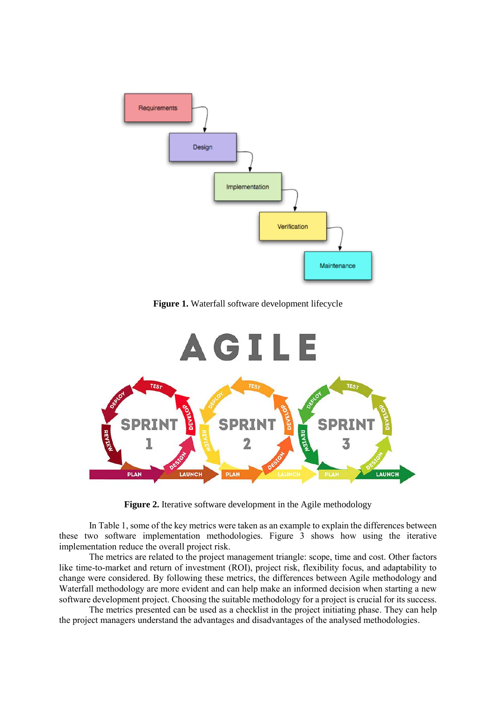

**Figure 1.** Waterfall software development lifecycle



**Figure 2.** Iterative software development in the Agile methodology

In Table 1, some of the key metrics were taken as an example to explain the differences between these two software implementation methodologies. Figure 3 shows how using the iterative implementation reduce the overall project risk.

The metrics are related to the project management triangle: scope, time and cost. Other factors like time-to-market and return of investment (ROI), project risk, flexibility focus, and adaptability to change were considered. By following these metrics, the differences between Agile methodology and Waterfall methodology are more evident and can help make an informed decision when starting a new software development project. Choosing the suitable methodology for a project is crucial for its success.

The metrics presented can be used as a checklist in the project initiating phase. They can help the project managers understand the advantages and disadvantages of the analysed methodologies.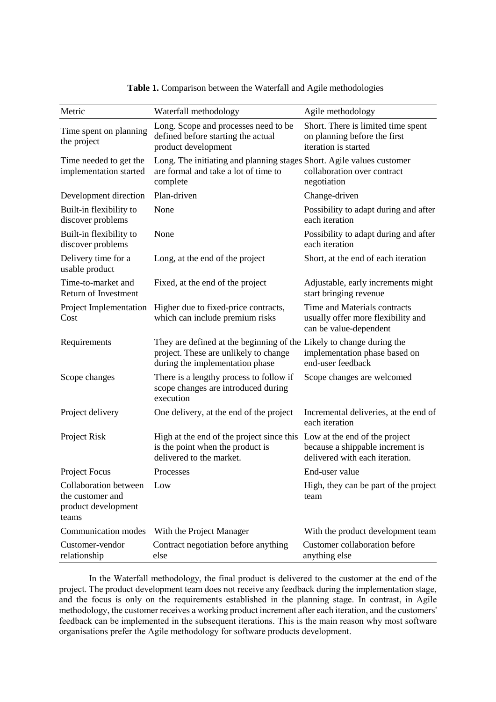| Metric                                                                    | Waterfall methodology                                                                                                                            | Agile methodology                                                                            |  |
|---------------------------------------------------------------------------|--------------------------------------------------------------------------------------------------------------------------------------------------|----------------------------------------------------------------------------------------------|--|
| Time spent on planning<br>the project                                     | Long. Scope and processes need to be<br>defined before starting the actual<br>product development                                                | Short. There is limited time spent<br>on planning before the first<br>iteration is started   |  |
| Time needed to get the<br>implementation started                          | Long. The initiating and planning stages Short. Agile values customer<br>are formal and take a lot of time to<br>complete                        | collaboration over contract<br>negotiation                                                   |  |
| Development direction                                                     | Plan-driven                                                                                                                                      | Change-driven                                                                                |  |
| Built-in flexibility to<br>discover problems                              | None                                                                                                                                             | Possibility to adapt during and after<br>each iteration                                      |  |
| Built-in flexibility to<br>discover problems                              | None                                                                                                                                             | Possibility to adapt during and after<br>each iteration                                      |  |
| Delivery time for a<br>usable product                                     | Long, at the end of the project                                                                                                                  | Short, at the end of each iteration                                                          |  |
| Time-to-market and<br>Return of Investment                                | Fixed, at the end of the project                                                                                                                 | Adjustable, early increments might<br>start bringing revenue                                 |  |
| Project Implementation<br>Cost                                            | Higher due to fixed-price contracts,<br>which can include premium risks                                                                          | Time and Materials contracts<br>usually offer more flexibility and<br>can be value-dependent |  |
| Requirements                                                              | They are defined at the beginning of the Likely to change during the<br>project. These are unlikely to change<br>during the implementation phase | implementation phase based on<br>end-user feedback                                           |  |
| Scope changes                                                             | There is a lengthy process to follow if<br>scope changes are introduced during<br>execution                                                      | Scope changes are welcomed                                                                   |  |
| Project delivery                                                          | One delivery, at the end of the project                                                                                                          | Incremental deliveries, at the end of<br>each iteration                                      |  |
| Project Risk                                                              | High at the end of the project since this Low at the end of the project<br>is the point when the product is<br>delivered to the market.          | because a shippable increment is<br>delivered with each iteration.                           |  |
| Project Focus                                                             | Processes                                                                                                                                        | End-user value                                                                               |  |
| Collaboration between<br>the customer and<br>product development<br>teams | Low                                                                                                                                              | High, they can be part of the project<br>team                                                |  |
| Communication modes                                                       | With the Project Manager                                                                                                                         | With the product development team                                                            |  |
| Customer-vendor<br>relationship                                           | Contract negotiation before anything<br>else                                                                                                     | Customer collaboration before<br>anything else                                               |  |

**Table 1.** Comparison between the Waterfall and Agile methodologies

In the Waterfall methodology, the final product is delivered to the customer at the end of the project. The product development team does not receive any feedback during the implementation stage, and the focus is only on the requirements established in the planning stage. In contrast, in Agile methodology, the customer receives a working product increment after each iteration, and the customers' feedback can be implemented in the subsequent iterations. This is the main reason why most software organisations prefer the Agile methodology for software products development.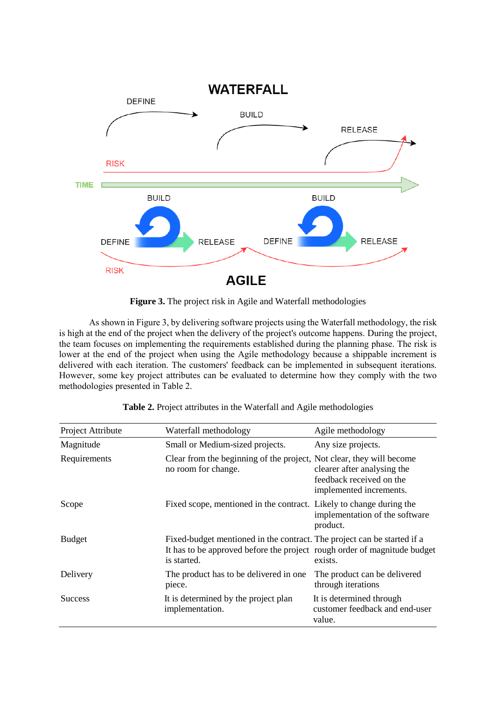

Figure 3. The project risk in Agile and Waterfall methodologies

As shown in Figure 3, by delivering software projects using the Waterfall methodology, the risk is high at the end of the project when the delivery of the project's outcome happens. During the project, the team focuses on implementing the requirements established during the planning phase. The risk is lower at the end of the project when using the Agile methodology because a shippable increment is delivered with each iteration. The customers' feedback can be implemented in subsequent iterations. However, some key project attributes can be evaluated to determine how they comply with the two methodologies presented in Table 2.

| Project Attribute | Waterfall methodology                                                                                                                                              | Agile methodology                                                                  |  |
|-------------------|--------------------------------------------------------------------------------------------------------------------------------------------------------------------|------------------------------------------------------------------------------------|--|
| Magnitude         | Small or Medium-sized projects.                                                                                                                                    | Any size projects.                                                                 |  |
| Requirements      | Clear from the beginning of the project, Not clear, they will become<br>no room for change.                                                                        | clearer after analysing the<br>feedback received on the<br>implemented increments. |  |
| Scope             | Fixed scope, mentioned in the contract. Likely to change during the                                                                                                | implementation of the software<br>product.                                         |  |
| <b>Budget</b>     | Fixed-budget mentioned in the contract. The project can be started if a<br>It has to be approved before the project rough order of magnitude budget<br>is started. | exists.                                                                            |  |
| Delivery          | The product has to be delivered in one.<br>piece.                                                                                                                  | The product can be delivered<br>through iterations                                 |  |
| <b>Success</b>    | It is determined by the project plan<br>implementation.                                                                                                            | It is determined through<br>customer feedback and end-user<br>value.               |  |

**Table 2.** Project attributes in the Waterfall and Agile methodologies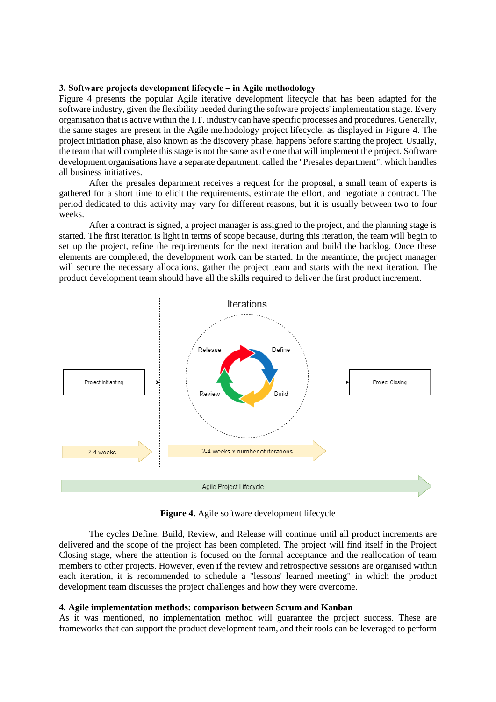### **3. Software projects development lifecycle – in Agile methodology**

Figure 4 presents the popular Agile iterative development lifecycle that has been adapted for the software industry, given the flexibility needed during the software projects' implementation stage. Every organisation that is active within the I.T. industry can have specific processes and procedures. Generally, the same stages are present in the Agile methodology project lifecycle, as displayed in Figure 4. The project initiation phase, also known as the discovery phase, happens before starting the project. Usually, the team that will complete this stage is not the same as the one that will implement the project. Software development organisations have a separate department, called the "Presales department", which handles all business initiatives.

After the presales department receives a request for the proposal, a small team of experts is gathered for a short time to elicit the requirements, estimate the effort, and negotiate a contract. The period dedicated to this activity may vary for different reasons, but it is usually between two to four weeks.

After a contract is signed, a project manager is assigned to the project, and the planning stage is started. The first iteration is light in terms of scope because, during this iteration, the team will begin to set up the project, refine the requirements for the next iteration and build the backlog. Once these elements are completed, the development work can be started. In the meantime, the project manager will secure the necessary allocations, gather the project team and starts with the next iteration. The product development team should have all the skills required to deliver the first product increment.



**Figure 4.** Agile software development lifecycle

The cycles Define, Build, Review, and Release will continue until all product increments are delivered and the scope of the project has been completed. The project will find itself in the Project Closing stage, where the attention is focused on the formal acceptance and the reallocation of team members to other projects. However, even if the review and retrospective sessions are organised within each iteration, it is recommended to schedule a "lessons' learned meeting" in which the product development team discusses the project challenges and how they were overcome.

#### **4. Agile implementation methods: comparison between Scrum and Kanban**

As it was mentioned, no implementation method will guarantee the project success. These are frameworks that can support the product development team, and their tools can be leveraged to perform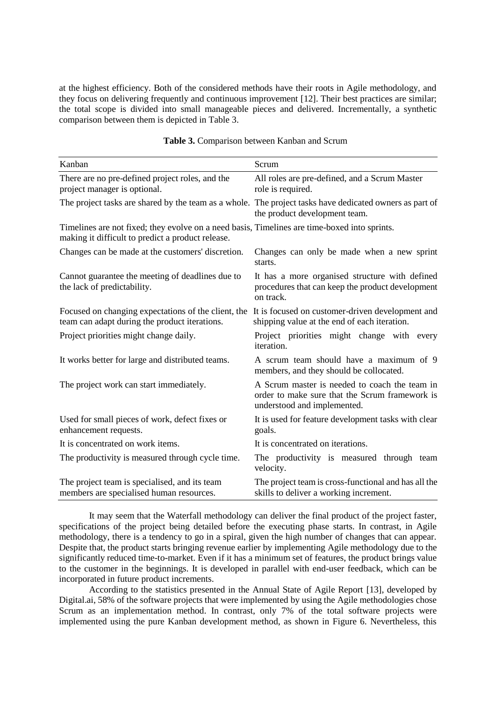at the highest efficiency. Both of the considered methods have their roots in Agile methodology, and they focus on delivering frequently and continuous improvement [12]. Their best practices are similar; the total scope is divided into small manageable pieces and delivered. Incrementally, a synthetic comparison between them is depicted in Table 3.

| Kanban                                                                                                                                            | Scrum                                                                                                                          |
|---------------------------------------------------------------------------------------------------------------------------------------------------|--------------------------------------------------------------------------------------------------------------------------------|
| There are no pre-defined project roles, and the<br>project manager is optional.                                                                   | All roles are pre-defined, and a Scrum Master<br>role is required.                                                             |
| The project tasks are shared by the team as a whole. The project tasks have dedicated owners as part of                                           | the product development team.                                                                                                  |
| Timelines are not fixed; they evolve on a need basis, Timelines are time-boxed into sprints.<br>making it difficult to predict a product release. |                                                                                                                                |
| Changes can be made at the customers' discretion.                                                                                                 | Changes can only be made when a new sprint<br>starts.                                                                          |
| Cannot guarantee the meeting of deadlines due to<br>the lack of predictability.                                                                   | It has a more organised structure with defined<br>procedures that can keep the product development<br>on track.                |
| Focused on changing expectations of the client, the<br>team can adapt during the product iterations.                                              | It is focused on customer-driven development and<br>shipping value at the end of each iteration.                               |
| Project priorities might change daily.                                                                                                            | Project priorities might change with every<br>iteration.                                                                       |
| It works better for large and distributed teams.                                                                                                  | A scrum team should have a maximum of 9<br>members, and they should be collocated.                                             |
| The project work can start immediately.                                                                                                           | A Scrum master is needed to coach the team in<br>order to make sure that the Scrum framework is<br>understood and implemented. |
| Used for small pieces of work, defect fixes or<br>enhancement requests.                                                                           | It is used for feature development tasks with clear<br>goals.                                                                  |
| It is concentrated on work items.                                                                                                                 | It is concentrated on iterations.                                                                                              |
| The productivity is measured through cycle time.                                                                                                  | The productivity is measured through team<br>velocity.                                                                         |
| The project team is specialised, and its team<br>members are specialised human resources.                                                         | The project team is cross-functional and has all the<br>skills to deliver a working increment.                                 |

| Table 3. Comparison between Kanban and Scrum |  |  |
|----------------------------------------------|--|--|
|----------------------------------------------|--|--|

It may seem that the Waterfall methodology can deliver the final product of the project faster, specifications of the project being detailed before the executing phase starts. In contrast, in Agile methodology, there is a tendency to go in a spiral, given the high number of changes that can appear. Despite that, the product starts bringing revenue earlier by implementing Agile methodology due to the significantly reduced time-to-market. Even if it has a minimum set of features, the product brings value to the customer in the beginnings. It is developed in parallel with end-user feedback, which can be incorporated in future product increments.

According to the statistics presented in the Annual State of Agile Report [13], developed by Digital.ai, 58% of the software projects that were implemented by using the Agile methodologies chose Scrum as an implementation method. In contrast, only 7% of the total software projects were implemented using the pure Kanban development method, as shown in Figure 6. Nevertheless, this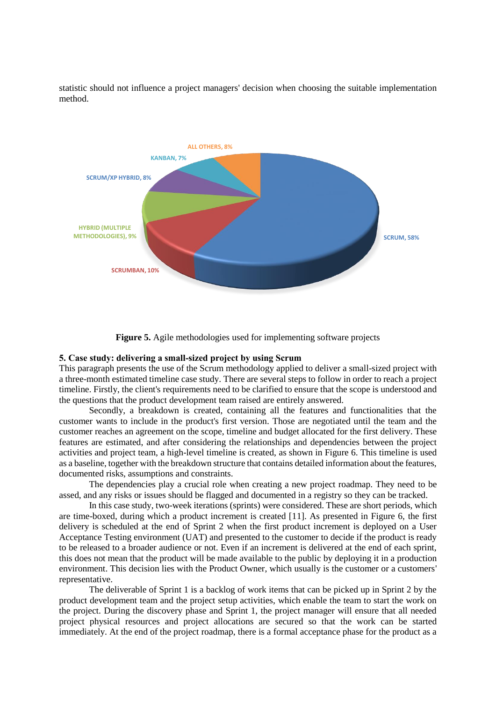statistic should not influence a project managers' decision when choosing the suitable implementation method.



**Figure 5.** Agile methodologies used for implementing software projects

#### **5. Case study: delivering a small-sized project by using Scrum**

This paragraph presents the use of the Scrum methodology applied to deliver a small-sized project with a three-month estimated timeline case study. There are several steps to follow in order to reach a project timeline. Firstly, the client's requirements need to be clarified to ensure that the scope is understood and the questions that the product development team raised are entirely answered.

Secondly, a breakdown is created, containing all the features and functionalities that the customer wants to include in the product's first version. Those are negotiated until the team and the customer reaches an agreement on the scope, timeline and budget allocated for the first delivery. These features are estimated, and after considering the relationships and dependencies between the project activities and project team, a high-level timeline is created, as shown in Figure 6. This timeline is used as a baseline, together with the breakdown structure that contains detailed information about the features, documented risks, assumptions and constraints.

The dependencies play a crucial role when creating a new project roadmap. They need to be assed, and any risks or issues should be flagged and documented in a registry so they can be tracked.

In this case study, two-week iterations (sprints) were considered. These are short periods, which are time-boxed, during which a product increment is created [11]. As presented in Figure 6, the first delivery is scheduled at the end of Sprint 2 when the first product increment is deployed on a User Acceptance Testing environment (UAT) and presented to the customer to decide if the product is ready to be released to a broader audience or not. Even if an increment is delivered at the end of each sprint, this does not mean that the product will be made available to the public by deploying it in a production environment. This decision lies with the Product Owner, which usually is the customer or a customers' representative.

The deliverable of Sprint 1 is a backlog of work items that can be picked up in Sprint 2 by the product development team and the project setup activities, which enable the team to start the work on the project. During the discovery phase and Sprint 1, the project manager will ensure that all needed project physical resources and project allocations are secured so that the work can be started immediately. At the end of the project roadmap, there is a formal acceptance phase for the product as a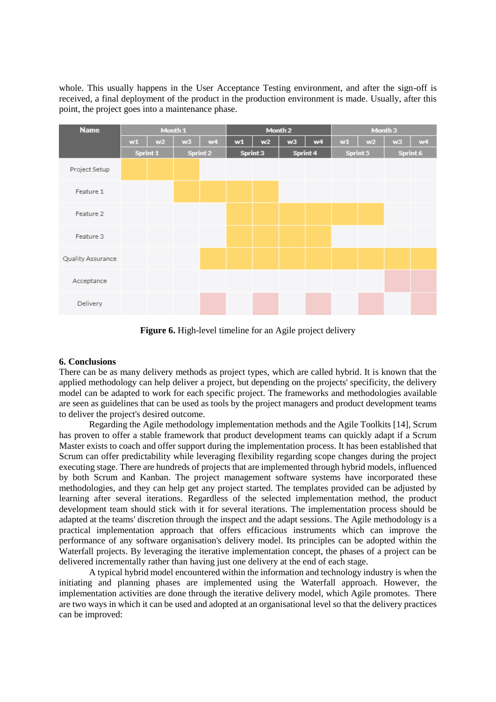whole. This usually happens in the User Acceptance Testing environment, and after the sign-off is received, a final deployment of the product in the production environment is made. Usually, after this point, the project goes into a maintenance phase.



**Figure 6.** High-level timeline for an Agile project delivery

## **6. Conclusions**

There can be as many delivery methods as project types, which are called hybrid. It is known that the applied methodology can help deliver a project, but depending on the projects' specificity, the delivery model can be adapted to work for each specific project. The frameworks and methodologies available are seen as guidelines that can be used as tools by the project managers and product development teams to deliver the project's desired outcome.

Regarding the Agile methodology implementation methods and the Agile Toolkits [14], Scrum has proven to offer a stable framework that product development teams can quickly adapt if a Scrum Master exists to coach and offer support during the implementation process. It has been established that Scrum can offer predictability while leveraging flexibility regarding scope changes during the project executing stage. There are hundreds of projects that are implemented through hybrid models, influenced by both Scrum and Kanban. The project management software systems have incorporated these methodologies, and they can help get any project started. The templates provided can be adjusted by learning after several iterations. Regardless of the selected implementation method, the product development team should stick with it for several iterations. The implementation process should be adapted at the teams' discretion through the inspect and the adapt sessions. The Agile methodology is a practical implementation approach that offers efficacious instruments which can improve the performance of any software organisation's delivery model. Its principles can be adopted within the Waterfall projects. By leveraging the iterative implementation concept, the phases of a project can be delivered incrementally rather than having just one delivery at the end of each stage.

A typical hybrid model encountered within the information and technology industry is when the initiating and planning phases are implemented using the Waterfall approach. However, the implementation activities are done through the iterative delivery model, which Agile promotes. There are two ways in which it can be used and adopted at an organisational level so that the delivery practices can be improved: